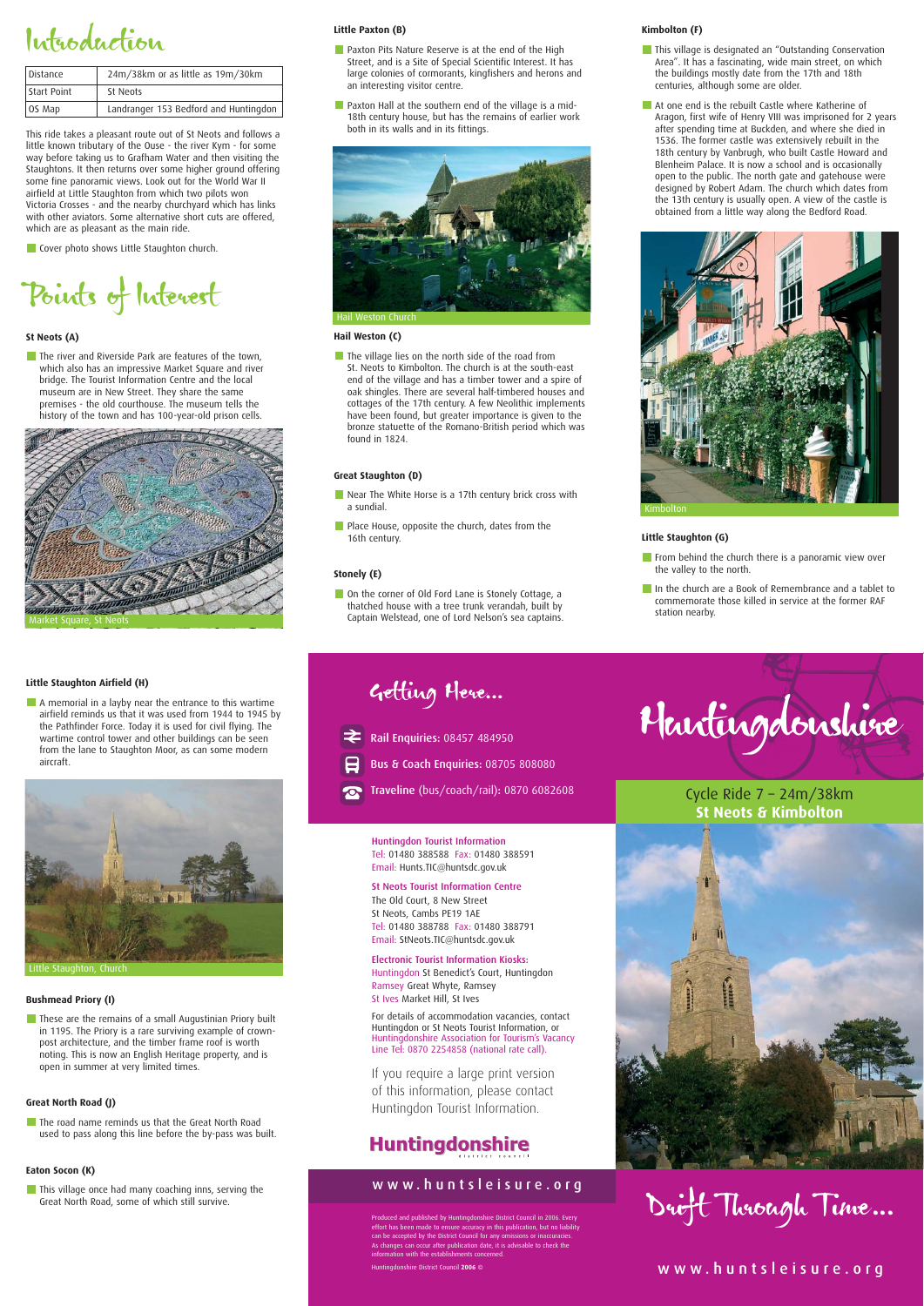### Introduction

This ride takes a pleasant route out of St Neots and follows a little known tributary of the Ouse - the river Kym - for some way before taking us to Grafham Water and then visiting the Staughtons. It then returns over some higher ground offering some fine panoramic views. Look out for the World War II airfield at Little Staughton from which two pilots won Victoria Crosses - and the nearby churchyard which has links with other aviators. Some alternative short cuts are offered, which are as pleasant as the main ride.

**Cover photo shows Little Staughton church.** 

The river and Riverside Park are features of the town, which also has an impressive Market Square and river bridge. The Tourist Information Centre and the local museum are in New Street. They share the same premises - the old courthouse. The museum tells the history of the town and has 100-year-old prison cells.

Points of Interest

#### **St Neots (A)**

- **Paxton Pits Nature Reserve is at the end of the High** Street, and is a Site of Special Scientific Interest. It has large colonies of cormorants, kingfishers and herons and an interesting visitor centre.
- **Paxton Hall at the southern end of the village is a mid-**18th century house, but has the remains of earlier work both in its walls and in its fittings.

The village lies on the north side of the road from St. Neots to Kimbolton. The church is at the south-east end of the village and has a timber tower and a spire of oak shingles. There are several half-timbered houses and cottages of the 17th century. A few Neolithic implements have been found, but greater importance is given to the bronze statuette of the Romano-British period which was found in 1824.

#### **Little Paxton (B)**

- Near The White Horse is a 17th century brick cross with a sundial.
- **Place House, opposite the church, dates from the** 16th century.

On the corner of Old Ford Lane is Stonely Cottage, a thatched house with a tree trunk verandah, built by Captain Welstead, one of Lord Nelson's sea captains.

#### **Hail Weston (C)**

- **This village is designated an "Outstanding Conservation** Area". It has a fascinating, wide main street, on which the buildings mostly date from the 17th and 18th centuries, although some are older.
- At one end is the rebuilt Castle where Katherine of Aragon, first wife of Henry VIII was imprisoned for 2 years after spending time at Buckden, and where she died in 1536. The former castle was extensively rebuilt in the 18th century by Vanbrugh, who built Castle Howard and Blenheim Palace. It is now a school and is occasionally open to the public. The north gate and gatehouse were designed by Robert Adam. The church which dates from the 13th century is usually open. A view of the castle is obtained from a little way along the Bedford Road.

- $\blacksquare$  From behind the church there is a panoramic view over the valley to the north.
- In the church are a Book of Remembrance and a tablet to commemorate those killed in service at the former RAF station nearby.

A memorial in a layby near the entrance to this wartime airfield reminds us that it was used from 1944 to 1945 by the Pathfinder Force. Today it is used for civil flying. The wartime control tower and other buildings can be seen from the lane to Staughton Moor, as can some modern aircraft.



#### **Great Staughton (D)**

**These are the remains of a small Augustinian Priory built** in 1195. The Priory is a rare surviving example of crownpost architecture, and the timber frame roof is worth noting. This is now an English Heritage property, and is open in summer at very limited times.

#### **Stonely (E)**

The road name reminds us that the Great North Road used to pass along this line before the by-pass was built.

#### **Kimbolton (F)**

#### **Little Staughton (G)**

#### **Little Staughton Airfield (H)**

#### **Bushmead Priory (I)**

#### **Great North Road (J)**

#### **Eaton Socon (K)**

**This village once had many coaching inns, serving the Great North Road, some of which still survive.** 

### Great North Road, some of which still survive. Drift Through Time ...



#### www.huntsleisure.org

Cycle Ride 7 – 24m/38km **St Neots & Kimbolton**



Huntingdon Tourist Information Tel: 01480 388588 Fax: 01480 388591 Email: Hunts.TIC@huntsdc.gov.uk

St Neots Tourist Information Centre The Old Court, 8 New Street St Neots, Cambs PE19 1AE Tel: 01480 388788 Fax: 01480 388791 Email: StNeots.TIC@huntsdc.gov.uk

Electronic Tourist Information Kiosks: Huntingdon St Benedict's Court, Huntingdon

Ramsey Great Whyte, Ramsey St Ives Market Hill, St Ives

For details of accommodation vacancies, contact Huntingdon or St Neots Tourist Information, or Huntingdonshire Association for Tourism's Vacancy Line Tel: 0870 2254858 (national rate call).

If you require a large print version of this information, please contact Huntingdon Tourist Information.



#### www.huntsleisure.org

Produced and published by Huntingdonshire District Council in 2006. Every effort has been made to ensure accuracy in this publication, but no liability can be accepted by the District Council for any omissions or inaccuracies. As changes can occur after publication date, it is advisable to check the information with the establishments concerned.

Huntingdonshire District Council **2006** ©

Getting Here…

Rail Enquiries: 08457 484950

Bus & Coach Enquiries: 08705 808080

Traveline (bus/coach/rail): 0870 6082608





#### Little Staughton, Church



| Distance    | 24m/38km or as little as 19m/30km     |
|-------------|---------------------------------------|
| Start Point | St Neots                              |
| OS Map      | Landranger 153 Bedford and Huntingdon |